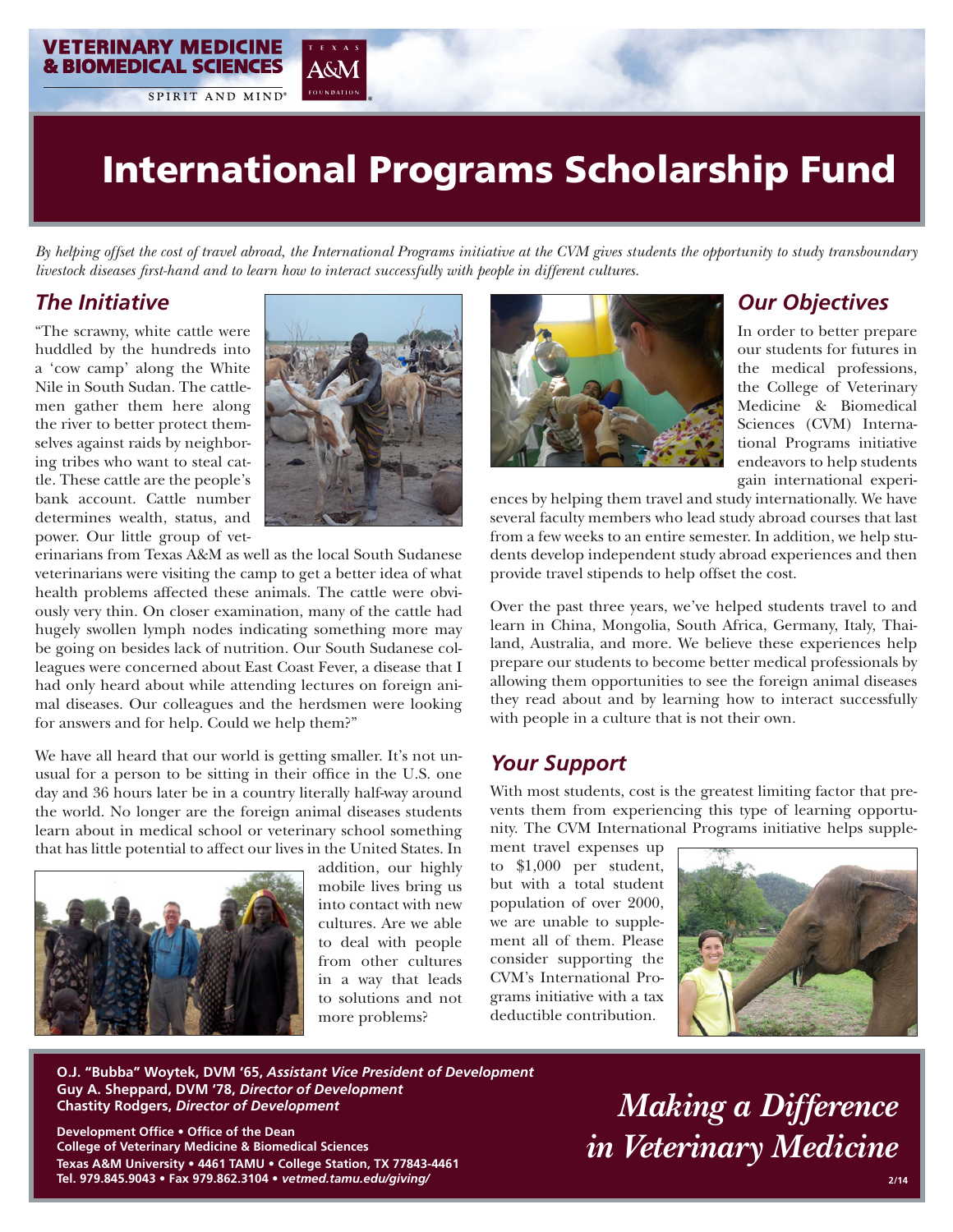*By helping offset the cost of travel abroad, the International Programs initiative at the CVM gives students the opportunity to study transboundary livestock diseases first-hand and to learn how to interact successfully with people in different cultures.*

#### *The Initiative*

"The scrawny, white cattle were huddled by the hundreds into a 'cow camp' along the White Nile in South Sudan. The cattlemen gather them here along the river to better protect themselves against raids by neighboring tribes who want to steal cattle. These cattle are the people's bank account. Cattle number determines wealth, status, and power. Our little group of vet-

**VETERINARY MEDICINE & BIOMEDICAL SCIENCES** 

SPIRIT AND MIND



A&M

erinarians from Texas A&M as well as the local South Sudanese veterinarians were visiting the camp to get a better idea of what health problems affected these animals. The cattle were obviously very thin. On closer examination, many of the cattle had hugely swollen lymph nodes indicating something more may be going on besides lack of nutrition. Our South Sudanese colleagues were concerned about East Coast Fever, a disease that I had only heard about while attending lectures on foreign animal diseases. Our colleagues and the herdsmen were looking for answers and for help. Could we help them?"

We have all heard that our world is getting smaller. It's not unusual for a person to be sitting in their office in the U.S. one day and 36 hours later be in a country literally half-way around the world. No longer are the foreign animal diseases students learn about in medical school or veterinary school something that has little potential to affect our lives in the United States. In



addition, our highly mobile lives bring us into contact with new cultures. Are we able to deal with people from other cultures in a way that leads to solutions and not more problems?



#### *Our Objectives*

In order to better prepare our students for futures in the medical professions, the College of Veterinary Medicine & Biomedical Sciences (CVM) International Programs initiative endeavors to help students gain international experi-

ences by helping them travel and study internationally. We have several faculty members who lead study abroad courses that last from a few weeks to an entire semester. In addition, we help students develop independent study abroad experiences and then provide travel stipends to help offset the cost.

Over the past three years, we've helped students travel to and learn in China, Mongolia, South Africa, Germany, Italy, Thailand, Australia, and more. We believe these experiences help prepare our students to become better medical professionals by allowing them opportunities to see the foreign animal diseases they read about and by learning how to interact successfully with people in a culture that is not their own.

#### *Your Support*

With most students, cost is the greatest limiting factor that prevents them from experiencing this type of learning opportunity. The CVM International Programs initiative helps supple-

ment travel expenses up to \$1,000 per student, but with a total student population of over 2000, we are unable to supplement all of them. Please consider supporting the CVM's International Programs initiative with a tax deductible contribution.



**O.J. "Bubba" Woytek, DVM '65,** *Assistant Vice President of Development* **Guy A. Sheppard, DVM '78,** *Director of Development*  **Chastity Rodgers,** *Director of Development*

**Development Office • Office of the Dean College of Veterinary Medicine & Biomedical Sciences Texas A&M University • 4461 TAMU • College Station, TX 77843-4461 Tel. 979.845.9043 • Fax 979.862.3104 •** *vetmed.tamu.edu/giving/*

*Making a Difference in Veterinary Medicine*